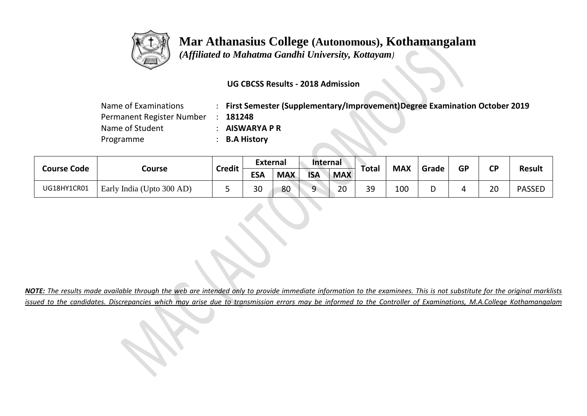

 *(Affiliated to Mahatma Gandhi University, Kottayam)*

### **UG CBCSS Results - 2018 Admission**

| Name of Examinations      | First Semester (Supplementary/Improvement)Degree Examination October 2019 |
|---------------------------|---------------------------------------------------------------------------|
| Permanent Register Number | 181248                                                                    |
| Name of Student           | <b>AISWARYA P R</b>                                                       |
| Programme                 | <b>B.A History</b>                                                        |

| <b>Course Code</b> |                           | <b>Credit</b> | <b>External</b> |            | <b>Internal</b> |            |       | <b>MAX</b> | Grade  | <b>GP</b> | СP | Result        |
|--------------------|---------------------------|---------------|-----------------|------------|-----------------|------------|-------|------------|--------|-----------|----|---------------|
|                    | Course                    |               | <b>ESA</b>      | <b>MAX</b> | <b>ISA</b>      | <b>MAX</b> | Total |            |        |           |    |               |
| UG18HY1CR01        | Early India (Upto 300 AD) |               | 30              | 80         | a               | 20         | 39    | 100        | ∽<br>י |           | 20 | <b>PASSED</b> |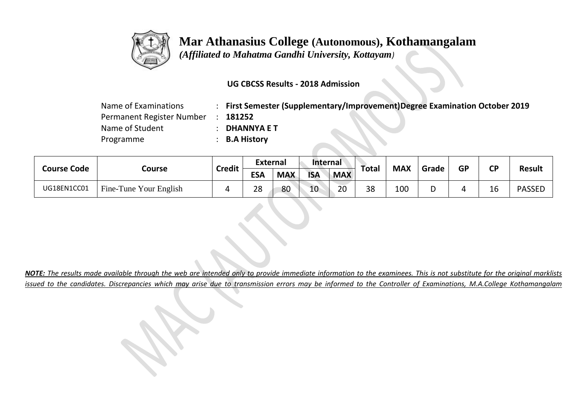

 *(Affiliated to Mahatma Gandhi University, Kottayam)*

### **UG CBCSS Results - 2018 Admission**

| Name of Examinations      | First Semester (Supplementary/Improvement)Degree Examination October 2019 |
|---------------------------|---------------------------------------------------------------------------|
| Permanent Register Number | 181252                                                                    |
| Name of Student           | <b>DHANNYA E T</b>                                                        |
| Programme                 | : B.A History                                                             |

| <b>Course Code</b> |                        | <b>Credit</b> | <b>External</b> |            | <b>Internal</b> |            | <b>Total</b> | <b>MAX</b> | Grade  | <b>GP</b> | СP | Result        |
|--------------------|------------------------|---------------|-----------------|------------|-----------------|------------|--------------|------------|--------|-----------|----|---------------|
|                    | Course                 |               | <b>ESA</b>      | <b>MAX</b> | <b>ISA</b>      | <b>MAX</b> |              |            |        |           |    |               |
| UG18EN1CC01        | Fine-Tune Your English |               | 28              | 80         | 10              | 20         | 38           | 100        | ∽<br>י |           | 16 | <b>PASSED</b> |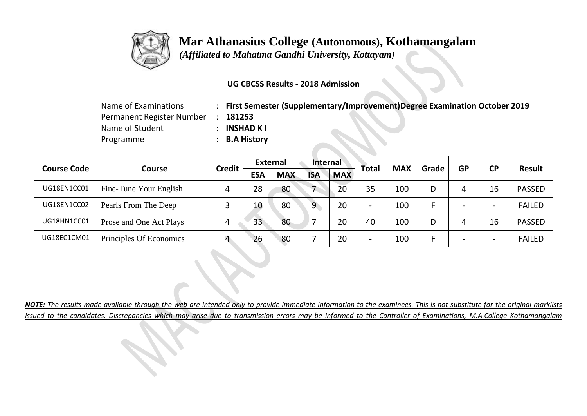

 *(Affiliated to Mahatma Gandhi University, Kottayam)*

### **UG CBCSS Results - 2018 Admission**

| Name of Examinations      | First Semester (Supplementary/Improvement)Degree Examination October 2019 |
|---------------------------|---------------------------------------------------------------------------|
| Permanent Register Number | 181253                                                                    |
| Name of Student           | <b>INSHAD K I</b>                                                         |
| Programme                 | <b>B.A History</b>                                                        |

|                    |                         | <b>Credit</b> |            | <b>External</b> |            | Internal   | <b>Total</b>             | <b>MAX</b> | Grade | <b>GP</b> | <b>CP</b>                | <b>Result</b> |
|--------------------|-------------------------|---------------|------------|-----------------|------------|------------|--------------------------|------------|-------|-----------|--------------------------|---------------|
| <b>Course Code</b> | <b>Course</b>           |               | <b>ESA</b> | <b>MAX</b>      | <b>ISA</b> | <b>MAX</b> |                          |            |       |           |                          |               |
| UG18EN1CC01        | Fine-Tune Your English  | 4             | 28         | 80              |            | 20         | 35                       | 100        | D     |           | 16                       | <b>PASSED</b> |
| UG18EN1CC02        | Pearls From The Deep    |               | 10         | 80              | 9          | 20         | $\overline{\phantom{0}}$ | 100        |       |           | $\overline{\phantom{0}}$ | <b>FAILED</b> |
| UG18HN1CC01        | Prose and One Act Plays | 4             | 33         | 80              |            | 20         | 40                       | 100        | D     |           | 16                       | <b>PASSED</b> |
| UG18EC1CM01        | Principles Of Economics | $\mathbf{A}$  | 26         | 80              |            | 20         | $\overline{\phantom{0}}$ | 100        |       |           | $\overline{\phantom{0}}$ | <b>FAILED</b> |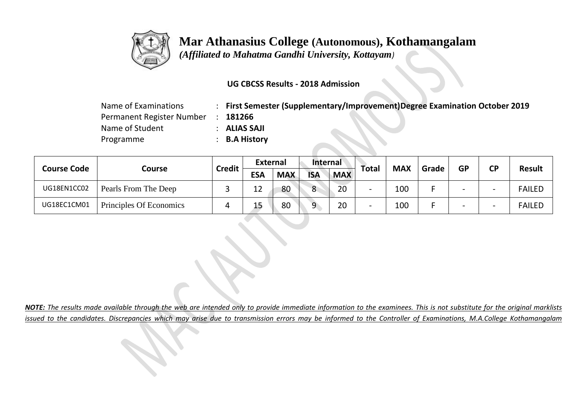

 *(Affiliated to Mahatma Gandhi University, Kottayam)*

### **UG CBCSS Results - 2018 Admission**

| Name of Examinations      | First Semester (Supplementary/Improvement)Degree Examination October 2019 |
|---------------------------|---------------------------------------------------------------------------|
| Permanent Register Number | 181266                                                                    |
| Name of Student           | ALIAS SAJI                                                                |
| Programme                 | <b>B.A History</b>                                                        |

| <b>Course Code</b> | Course                  | Credit | <b>External</b> |            | <b>Internal</b> |            |                          | <b>MAX</b> | Grade | <b>GP</b> | <b>CP</b>                | <b>Result</b> |
|--------------------|-------------------------|--------|-----------------|------------|-----------------|------------|--------------------------|------------|-------|-----------|--------------------------|---------------|
|                    |                         |        | <b>ESA</b>      | <b>MAX</b> | <b>ISA</b>      | <b>MAX</b> | Total                    |            |       |           |                          |               |
| UG18EN1CC02        | Pearls From The Deep    |        | 12              | 80         | 8               | 20         |                          | 100        |       |           | $\overline{\phantom{0}}$ | <b>FAILED</b> |
| UG18EC1CM01        | Principles Of Economics |        | 15              | 80         | 9               | 20         | $\overline{\phantom{0}}$ | 100        |       |           | $\overline{\phantom{0}}$ | <b>FAILED</b> |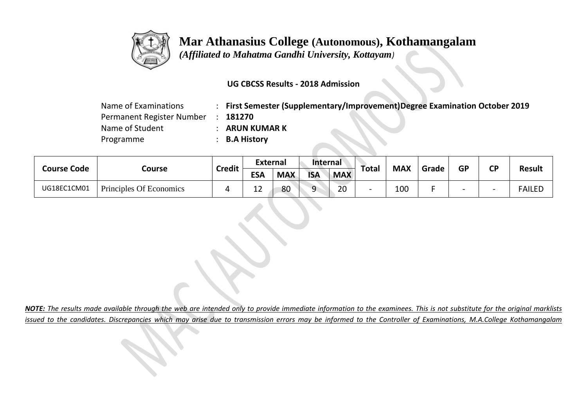

 *(Affiliated to Mahatma Gandhi University, Kottayam)*

### **UG CBCSS Results - 2018 Admission**

| Name of Examinations      | First Semester (Supplementary/Improvement)Degree Examination October 2019 |
|---------------------------|---------------------------------------------------------------------------|
| Permanent Register Number | 181270                                                                    |
| Name of Student           | <b>ARUN KUMAR K</b>                                                       |
| Programme                 | <b>B.A History</b>                                                        |

|                    |                         | <b>Credit</b> | <b>External</b> |            | <b>Internal</b> |            |       | <b>MAX</b> | Grade | <b>GP</b> | <b>CP</b>                | <b>Result</b> |
|--------------------|-------------------------|---------------|-----------------|------------|-----------------|------------|-------|------------|-------|-----------|--------------------------|---------------|
| <b>Course Code</b> | Course                  |               | <b>ESA</b>      | <b>MAX</b> | <b>ISA</b>      | <b>MAX</b> | Total |            |       |           |                          |               |
| UG18EC1CM01        | Principles Of Economics |               | 1 ገ<br>ᅩ        | 80         | Q               | 20         |       | 100        |       |           | $\overline{\phantom{0}}$ | <b>FAILED</b> |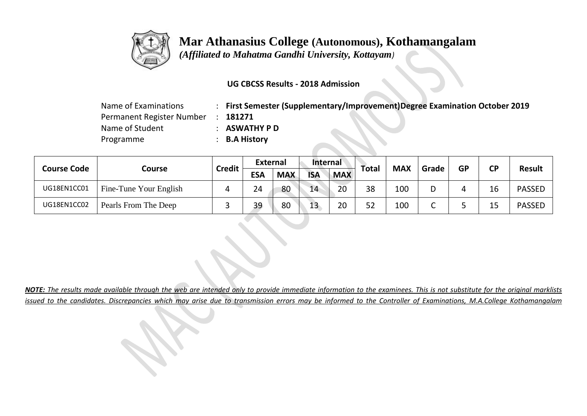

 *(Affiliated to Mahatma Gandhi University, Kottayam)*

### **UG CBCSS Results - 2018 Admission**

| Name of Examinations      | <b>First Semester (Supplementary/Improvement)Degree Examination October 2019</b> |
|---------------------------|----------------------------------------------------------------------------------|
| Permanent Register Number | 181271                                                                           |
| Name of Student           | <b>ASWATHY P D</b>                                                               |
| Programme                 | <b>B.A History</b>                                                               |

|                    |                        | <b>Credit</b> | <b>External</b> |            | <b>Internal</b> |            |       | <b>MAX</b> | Grade | <b>GP</b> | <b>CP</b> |               |
|--------------------|------------------------|---------------|-----------------|------------|-----------------|------------|-------|------------|-------|-----------|-----------|---------------|
| <b>Course Code</b> | Course                 |               | <b>ESA</b>      | <b>MAX</b> | <b>ISA</b>      | <b>MAX</b> | Total |            |       |           |           | <b>Result</b> |
| UG18EN1CC01        | Fine-Tune Your English |               | 24              | 80         | 14              | 20         | 38    | 100        | D     | 4         | 16        | <b>PASSED</b> |
| UG18EN1CC02        | Pearls From The Deep   |               | 39              | 80         | 13              | 20         | 52    | 100        | ╰     |           | 15        | <b>PASSED</b> |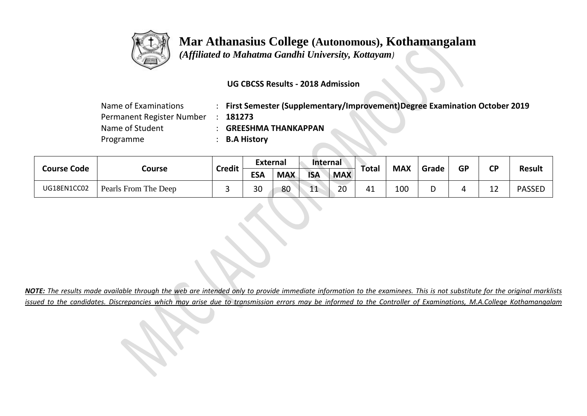

 *(Affiliated to Mahatma Gandhi University, Kottayam)*

### **UG CBCSS Results - 2018 Admission**

| Name of Examinations      | : First Semester (Supplementary/Improvement)Degree Examination October 2019 |
|---------------------------|-----------------------------------------------------------------------------|
| Permanent Register Number | 181273                                                                      |
| Name of Student           | <b>GREESHMA THANKAPPAN</b>                                                  |
| Programme                 | : B.A History                                                               |

| <b>Course Code</b> |                      | <b>Credit</b> | <b>External</b> |            | <b>Internal</b> |            |       | <b>MAX</b> | Grade  | <b>GP</b> | СP                | Result        |
|--------------------|----------------------|---------------|-----------------|------------|-----------------|------------|-------|------------|--------|-----------|-------------------|---------------|
|                    | Course               |               | <b>ESA</b>      | <b>MAX</b> | <b>ISA</b>      | <b>MAX</b> | Total |            |        |           |                   |               |
| UG18EN1CC02        | Pearls From The Deep |               | 30              | 80         | 11              | 20         | 41    | 100        | ∽<br>י |           | $1^{\circ}$<br>ᅩᄼ | <b>PASSED</b> |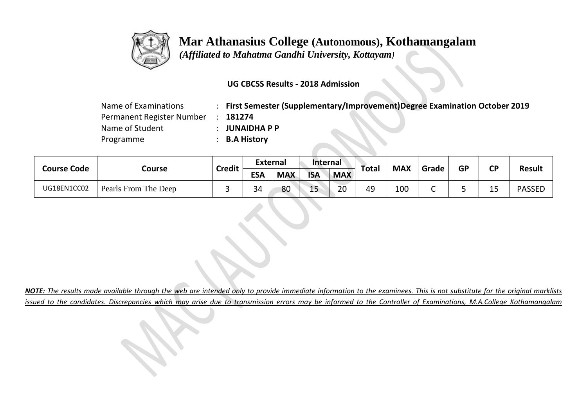

 *(Affiliated to Mahatma Gandhi University, Kottayam)*

### **UG CBCSS Results - 2018 Admission**

| Name of Examinations      | <b>First Semester (Supplementary/Improvement)Degree Examination October 2019</b> |
|---------------------------|----------------------------------------------------------------------------------|
| Permanent Register Number | 181274                                                                           |
| Name of Student           | <b>JUNAIDHAPP</b>                                                                |
| Programme                 | : B.A History                                                                    |

|                    |                      | <b>Credit</b> | <b>External</b> |            | <b>Internal</b> |            |       | <b>MAX</b> | Grade | <b>GP</b> | <b>CP</b> | <b>Result</b> |
|--------------------|----------------------|---------------|-----------------|------------|-----------------|------------|-------|------------|-------|-----------|-----------|---------------|
| <b>Course Code</b> | Course               |               | <b>ESA</b>      | <b>MAX</b> | <b>ISA</b>      | <b>MAX</b> | Total |            |       |           |           |               |
| UG18EN1CC02        | Pearls From The Deep |               | 34              | 80         | 15              | 20         | 49    | 100        |       |           | 15        | <b>PASSED</b> |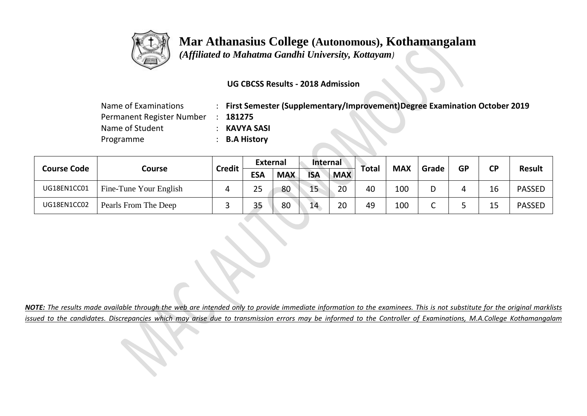

 *(Affiliated to Mahatma Gandhi University, Kottayam)*

### **UG CBCSS Results - 2018 Admission**

| Name of Examinations      | <b>First Semester (Supplementary/Improvement)Degree Examination October 2019</b> |
|---------------------------|----------------------------------------------------------------------------------|
| Permanent Register Number | 181275                                                                           |
| Name of Student           | KAVYA SASI                                                                       |
| Programme                 | <b>B.A History</b>                                                               |

| <b>Course Code</b> |                        | <b>Credit</b> | <b>External</b> |            | <b>Internal</b> |            |       | <b>MAX</b> | Grade | <b>GP</b> | <b>CP</b> | <b>Result</b> |
|--------------------|------------------------|---------------|-----------------|------------|-----------------|------------|-------|------------|-------|-----------|-----------|---------------|
|                    | Course                 |               | <b>ESA</b>      | <b>MAX</b> | <b>ISA</b>      | <b>MAX</b> | Total |            |       |           |           |               |
| UG18EN1CC01        | Fine-Tune Your English |               | 25              | 80         | 15 <sub>1</sub> | 20         | 40    | 100        | D     |           | 16        | <b>PASSED</b> |
| UG18EN1CC02        | Pearls From The Deep   |               | 35              | 80         | 14              | 20         | 49    | 100        |       |           | 15        | <b>PASSED</b> |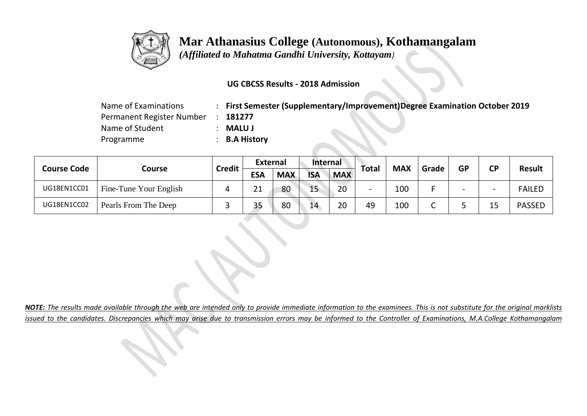

 *(Affiliated to Mahatma Gandhi University, Kottayam)*

### **UG CBCSS Results - 2018 Admission**

| Name of Examinations      | First Semester (Supplementary/Improvement)Degree Examination October 2019 |
|---------------------------|---------------------------------------------------------------------------|
| Permanent Register Number | 181277                                                                    |
| Name of Student           | <b>MALU J</b>                                                             |
| Programme                 | <b>B.A History</b>                                                        |

| <b>Course Code</b> | Course                 | Credit | <b>External</b> |            | <b>Internal</b> |            |                          | <b>MAX</b> | Grade | <b>GP</b> | <b>CP</b>                | <b>Result</b> |
|--------------------|------------------------|--------|-----------------|------------|-----------------|------------|--------------------------|------------|-------|-----------|--------------------------|---------------|
|                    |                        |        | <b>ESA</b>      | <b>MAX</b> | <b>ISA</b>      | <b>MAX</b> | Total                    |            |       |           |                          |               |
| UG18EN1CC01        | Fine-Tune Your English |        | 21              | 80         | 15              | 20         | $\overline{\phantom{0}}$ | 100        |       |           | $\overline{\phantom{0}}$ | <b>FAILED</b> |
| UG18EN1CC02        | Pearls From The Deep   |        | 35              | 80         | 14              | 20         | 49                       | 100        | ∼     |           | 15                       | <b>PASSED</b> |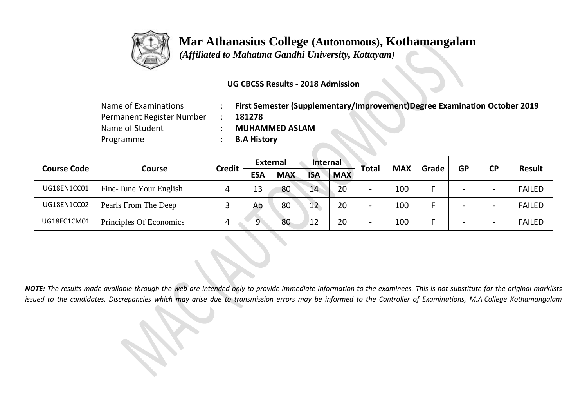

 *(Affiliated to Mahatma Gandhi University, Kottayam)*

### **UG CBCSS Results - 2018 Admission**

| Name of Examinations      | First Semester (Supplementary/Improvement)Degree Examination October 2019 |
|---------------------------|---------------------------------------------------------------------------|
| Permanent Register Number | 181278                                                                    |
| Name of Student           | <b>MUHAMMED ASLAM</b>                                                     |
| Programme                 | <b>B.A History</b>                                                        |

|                    |                         |               | <b>External</b> |            | <b>Internal</b> |            | Total                    | <b>MAX</b> | Grade |           |                          |               |
|--------------------|-------------------------|---------------|-----------------|------------|-----------------|------------|--------------------------|------------|-------|-----------|--------------------------|---------------|
| <b>Course Code</b> | <b>Course</b>           | <b>Credit</b> | <b>ESA</b>      | <b>MAX</b> | <b>ISA</b>      | <b>MAX</b> |                          |            |       | <b>GP</b> | <b>CP</b>                | <b>Result</b> |
| UG18EN1CC01        | Fine-Tune Your English  |               | 13              | 80         | 14              | 20         | $\overline{\phantom{0}}$ | 100        |       |           | $\overline{\phantom{0}}$ | <b>FAILED</b> |
| UG18EN1CC02        | Pearls From The Deep    |               | Ab              | 80         | 12              | 20         | $\overline{\phantom{0}}$ | 100        |       |           | $\overline{\phantom{0}}$ | <b>FAILED</b> |
| UG18EC1CM01        | Principles Of Economics |               | 9               | 80         | 12              | 20         | $\overline{\phantom{0}}$ | 100        |       |           | $\overline{\phantom{0}}$ | <b>FAILED</b> |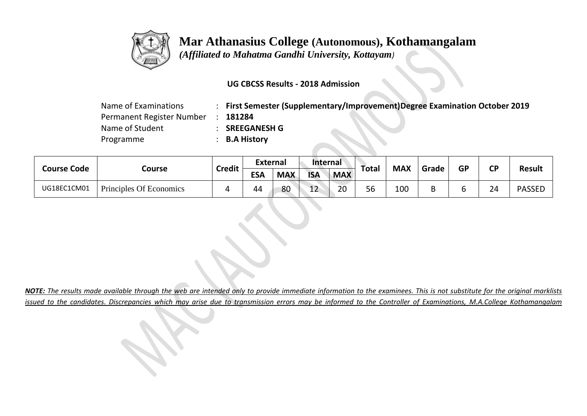

 *(Affiliated to Mahatma Gandhi University, Kottayam)*

### **UG CBCSS Results - 2018 Admission**

| Name of Examinations      | <b>First Semester (Supplementary/Improvement)Degree Examination October 2019</b> |
|---------------------------|----------------------------------------------------------------------------------|
| Permanent Register Number | 181284                                                                           |
| Name of Student           | <b>SREEGANESH G</b>                                                              |
| Programme                 | <b>B.A History</b>                                                               |

| <b>Course Code</b> |                         | <b>Credit</b> | <b>External</b> |            | <b>Internal</b> |            |       | <b>MAX</b> | Grade | <b>GP</b> | <b>CD</b> |               |
|--------------------|-------------------------|---------------|-----------------|------------|-----------------|------------|-------|------------|-------|-----------|-----------|---------------|
|                    | Course                  |               | <b>ESA</b>      | <b>MAX</b> | <b>ISA</b>      | <b>MAX</b> | Total |            |       |           |           | <b>Result</b> |
| UG18EC1CM01        | Principles Of Economics |               | 44              | 80         | 12<br>∸∸        | 20         | 56    | 100        | ◡     |           | 24        | <b>PASSED</b> |